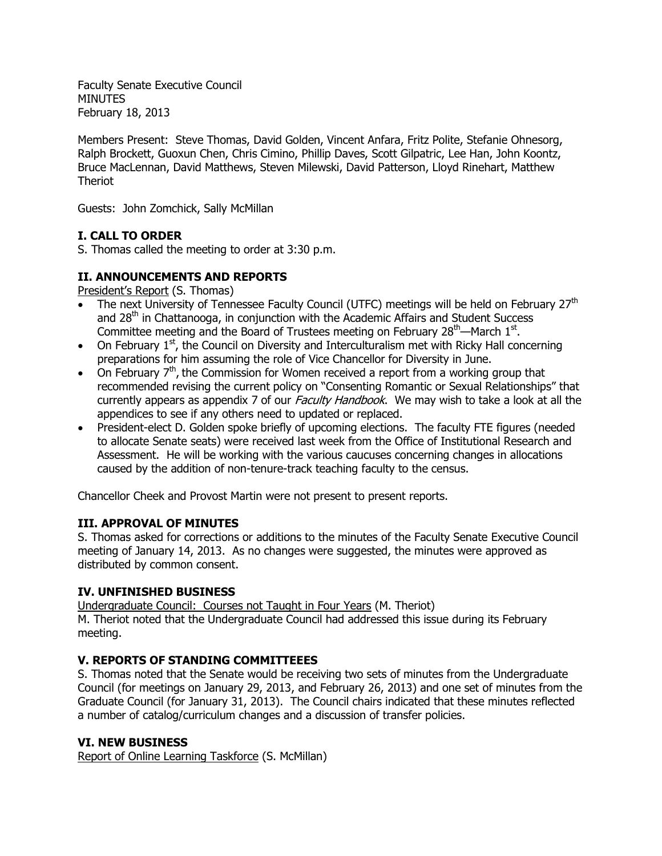Faculty Senate Executive Council **MINUTES** February 18, 2013

Members Present: Steve Thomas, David Golden, Vincent Anfara, Fritz Polite, Stefanie Ohnesorg, Ralph Brockett, Guoxun Chen, Chris Cimino, Phillip Daves, Scott Gilpatric, Lee Han, John Koontz, Bruce MacLennan, David Matthews, Steven Milewski, David Patterson, Lloyd Rinehart, Matthew Theriot

Guests: John Zomchick, Sally McMillan

## **I. CALL TO ORDER**

S. Thomas called the meeting to order at 3:30 p.m.

## **II. ANNOUNCEMENTS AND REPORTS**

President's Report (S. Thomas)

- The next University of Tennessee Faculty Council (UTFC) meetings will be held on February 27<sup>th</sup> and 28<sup>th</sup> in Chattanooga, in conjunction with the Academic Affairs and Student Success Committee meeting and the Board of Trustees meeting on February 28<sup>th</sup>—March 1<sup>st</sup>.
- On February  $1<sup>st</sup>$ , the Council on Diversity and Interculturalism met with Ricky Hall concerning preparations for him assuming the role of Vice Chancellor for Diversity in June.
- On February  $7<sup>th</sup>$ , the Commission for Women received a report from a working group that recommended revising the current policy on "Consenting Romantic or Sexual Relationships" that currently appears as appendix 7 of our *Faculty Handbook*. We may wish to take a look at all the appendices to see if any others need to updated or replaced.
- President-elect D. Golden spoke briefly of upcoming elections. The faculty FTE figures (needed to allocate Senate seats) were received last week from the Office of Institutional Research and Assessment. He will be working with the various caucuses concerning changes in allocations caused by the addition of non-tenure-track teaching faculty to the census.

Chancellor Cheek and Provost Martin were not present to present reports.

## **III. APPROVAL OF MINUTES**

S. Thomas asked for corrections or additions to the minutes of the Faculty Senate Executive Council meeting of January 14, 2013. As no changes were suggested, the minutes were approved as distributed by common consent.

## **IV. UNFINISHED BUSINESS**

Undergraduate Council: Courses not Taught in Four Years (M. Theriot) M. Theriot noted that the Undergraduate Council had addressed this issue during its February meeting.

# **V. REPORTS OF STANDING COMMITTEEES**

S. Thomas noted that the Senate would be receiving two sets of minutes from the Undergraduate Council (for meetings on January 29, 2013, and February 26, 2013) and one set of minutes from the Graduate Council (for January 31, 2013). The Council chairs indicated that these minutes reflected a number of catalog/curriculum changes and a discussion of transfer policies.

# **VI. NEW BUSINESS**

Report of Online Learning Taskforce (S. McMillan)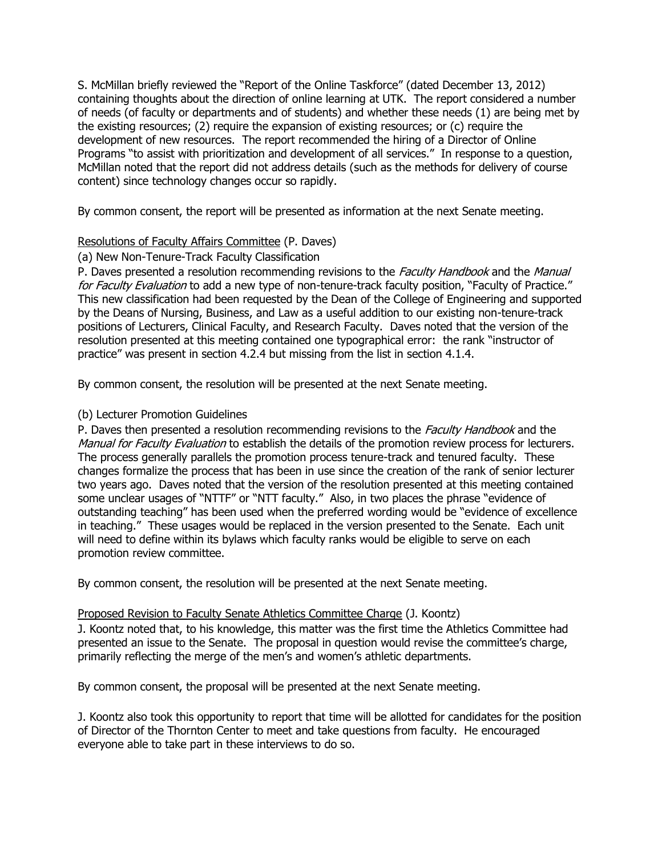S. McMillan briefly reviewed the "Report of the Online Taskforce" (dated December 13, 2012) containing thoughts about the direction of online learning at UTK. The report considered a number of needs (of faculty or departments and of students) and whether these needs (1) are being met by the existing resources; (2) require the expansion of existing resources; or (c) require the development of new resources. The report recommended the hiring of a Director of Online Programs "to assist with prioritization and development of all services." In response to a question, McMillan noted that the report did not address details (such as the methods for delivery of course content) since technology changes occur so rapidly.

By common consent, the report will be presented as information at the next Senate meeting.

### Resolutions of Faculty Affairs Committee (P. Daves)

### (a) New Non-Tenure-Track Faculty Classification

P. Daves presented a resolution recommending revisions to the Faculty Handbook and the Manual for Faculty Evaluation to add a new type of non-tenure-track faculty position, "Faculty of Practice." This new classification had been requested by the Dean of the College of Engineering and supported by the Deans of Nursing, Business, and Law as a useful addition to our existing non-tenure-track positions of Lecturers, Clinical Faculty, and Research Faculty. Daves noted that the version of the resolution presented at this meeting contained one typographical error: the rank "instructor of practice" was present in section 4.2.4 but missing from the list in section 4.1.4.

By common consent, the resolution will be presented at the next Senate meeting.

### (b) Lecturer Promotion Guidelines

P. Daves then presented a resolution recommending revisions to the Faculty Handbook and the Manual for Faculty Evaluation to establish the details of the promotion review process for lecturers. The process generally parallels the promotion process tenure-track and tenured faculty. These changes formalize the process that has been in use since the creation of the rank of senior lecturer two years ago. Daves noted that the version of the resolution presented at this meeting contained some unclear usages of "NTTF" or "NTT faculty." Also, in two places the phrase "evidence of outstanding teaching" has been used when the preferred wording would be "evidence of excellence in teaching." These usages would be replaced in the version presented to the Senate. Each unit will need to define within its bylaws which faculty ranks would be eligible to serve on each promotion review committee.

By common consent, the resolution will be presented at the next Senate meeting.

#### Proposed Revision to Faculty Senate Athletics Committee Charge (J. Koontz)

J. Koontz noted that, to his knowledge, this matter was the first time the Athletics Committee had presented an issue to the Senate. The proposal in question would revise the committee's charge, primarily reflecting the merge of the men's and women's athletic departments.

By common consent, the proposal will be presented at the next Senate meeting.

J. Koontz also took this opportunity to report that time will be allotted for candidates for the position of Director of the Thornton Center to meet and take questions from faculty. He encouraged everyone able to take part in these interviews to do so.